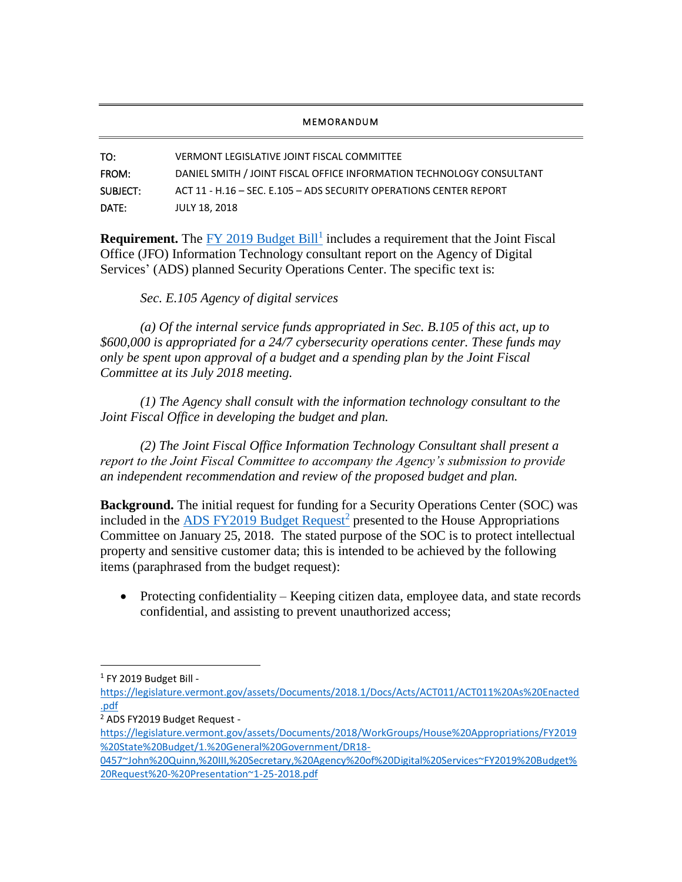## **MEMORANDUM**

TO: VERMONT LEGISLATIVE JOINT FISCAL COMMITTEE FROM: DANIEL SMITH / JOINT FISCAL OFFICE INFORMATION TECHNOLOGY CONSULTANT SUBJECT: ACT 11 - H.16 – SEC. E.105 – ADS SECURITY OPERATIONS CENTER REPORT DATE: JULY 18, 2018

**Requirement.** The **FY** 2019 Budget Bill<sup>1</sup> includes a requirement that the Joint Fiscal Office (JFO) Information Technology consultant report on the Agency of Digital Services' (ADS) planned Security Operations Center. The specific text is:

## *Sec. E.105 Agency of digital services*

*(a) Of the internal service funds appropriated in Sec. B.105 of this act, up to \$600,000 is appropriated for a 24/7 cybersecurity operations center. These funds may only be spent upon approval of a budget and a spending plan by the Joint Fiscal Committee at its July 2018 meeting.*

*(1) The Agency shall consult with the information technology consultant to the Joint Fiscal Office in developing the budget and plan.*

*(2) The Joint Fiscal Office Information Technology Consultant shall present a report to the Joint Fiscal Committee to accompany the Agency's submission to provide an independent recommendation and review of the proposed budget and plan.*

**Background.** The initial request for funding for a Security Operations Center (SOC) was included in the **ADS FY2019 Budget Request<sup>2</sup>** presented to the House Appropriations Committee on January 25, 2018. The stated purpose of the SOC is to protect intellectual property and sensitive customer data; this is intended to be achieved by the following items (paraphrased from the budget request):

• Protecting confidentiality – Keeping citizen data, employee data, and state records confidential, and assisting to prevent unauthorized access;

l

<sup>1</sup> FY 2019 Budget Bill -

[https://legislature.vermont.gov/assets/Documents/2018.1/Docs/Acts/ACT011/ACT011%20As%20Enacted](https://legislature.vermont.gov/assets/Documents/2018.1/Docs/Acts/ACT011/ACT011%20As%20Enacted.pdf) [.pdf](https://legislature.vermont.gov/assets/Documents/2018.1/Docs/Acts/ACT011/ACT011%20As%20Enacted.pdf)

<sup>2</sup> ADS FY2019 Budget Request -

[https://legislature.vermont.gov/assets/Documents/2018/WorkGroups/House%20Appropriations/FY2019](https://legislature.vermont.gov/assets/Documents/2018/WorkGroups/House%20Appropriations/FY2019%20State%20Budget/1.%20General%20Government/DR18-0457~John%20Quinn,%20III,%20Secretary,%20Agency%20of%20Digital%20Services~FY2019%20Budget%20Request%20-%20Presentation~1-25-2018.pdf) [%20State%20Budget/1.%20General%20Government/DR18-](https://legislature.vermont.gov/assets/Documents/2018/WorkGroups/House%20Appropriations/FY2019%20State%20Budget/1.%20General%20Government/DR18-0457~John%20Quinn,%20III,%20Secretary,%20Agency%20of%20Digital%20Services~FY2019%20Budget%20Request%20-%20Presentation~1-25-2018.pdf)

[<sup>0457~</sup>John%20Quinn,%20III,%20Secretary,%20Agency%20of%20Digital%20Services~FY2019%20Budget%](https://legislature.vermont.gov/assets/Documents/2018/WorkGroups/House%20Appropriations/FY2019%20State%20Budget/1.%20General%20Government/DR18-0457~John%20Quinn,%20III,%20Secretary,%20Agency%20of%20Digital%20Services~FY2019%20Budget%20Request%20-%20Presentation~1-25-2018.pdf) [20Request%20-%20Presentation~1-25-2018.pdf](https://legislature.vermont.gov/assets/Documents/2018/WorkGroups/House%20Appropriations/FY2019%20State%20Budget/1.%20General%20Government/DR18-0457~John%20Quinn,%20III,%20Secretary,%20Agency%20of%20Digital%20Services~FY2019%20Budget%20Request%20-%20Presentation~1-25-2018.pdf)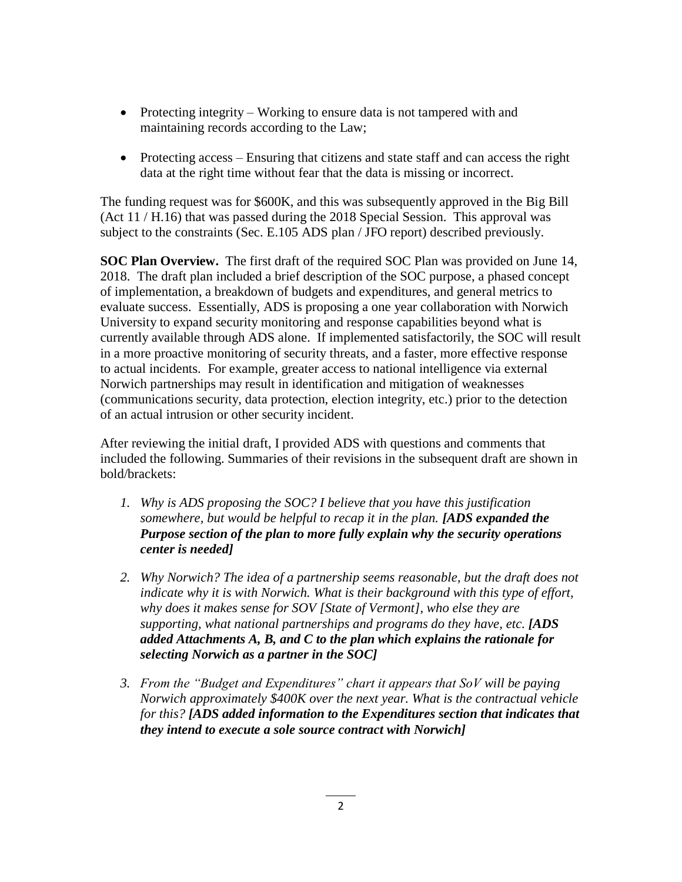- Protecting integrity Working to ensure data is not tampered with and maintaining records according to the Law;
- Protecting access Ensuring that citizens and state staff and can access the right data at the right time without fear that the data is missing or incorrect.

The funding request was for \$600K, and this was subsequently approved in the Big Bill (Act 11 / H.16) that was passed during the 2018 Special Session. This approval was subject to the constraints (Sec. E.105 ADS plan / JFO report) described previously.

**SOC Plan Overview.** The first draft of the required SOC Plan was provided on June 14, 2018. The draft plan included a brief description of the SOC purpose, a phased concept of implementation, a breakdown of budgets and expenditures, and general metrics to evaluate success. Essentially, ADS is proposing a one year collaboration with Norwich University to expand security monitoring and response capabilities beyond what is currently available through ADS alone. If implemented satisfactorily, the SOC will result in a more proactive monitoring of security threats, and a faster, more effective response to actual incidents. For example, greater access to national intelligence via external Norwich partnerships may result in identification and mitigation of weaknesses (communications security, data protection, election integrity, etc.) prior to the detection of an actual intrusion or other security incident.

After reviewing the initial draft, I provided ADS with questions and comments that included the following. Summaries of their revisions in the subsequent draft are shown in bold/brackets:

- *1. Why is ADS proposing the SOC? I believe that you have this justification somewhere, but would be helpful to recap it in the plan. [ADS expanded the Purpose section of the plan to more fully explain why the security operations center is needed]*
- *2. Why Norwich? The idea of a partnership seems reasonable, but the draft does not indicate why it is with Norwich. What is their background with this type of effort, why does it makes sense for SOV [State of Vermont], who else they are supporting, what national partnerships and programs do they have, etc. [ADS added Attachments A, B, and C to the plan which explains the rationale for selecting Norwich as a partner in the SOC]*
- *3. From the "Budget and Expenditures" chart it appears that SoV will be paying Norwich approximately \$400K over the next year. What is the contractual vehicle for this? [ADS added information to the Expenditures section that indicates that they intend to execute a sole source contract with Norwich]*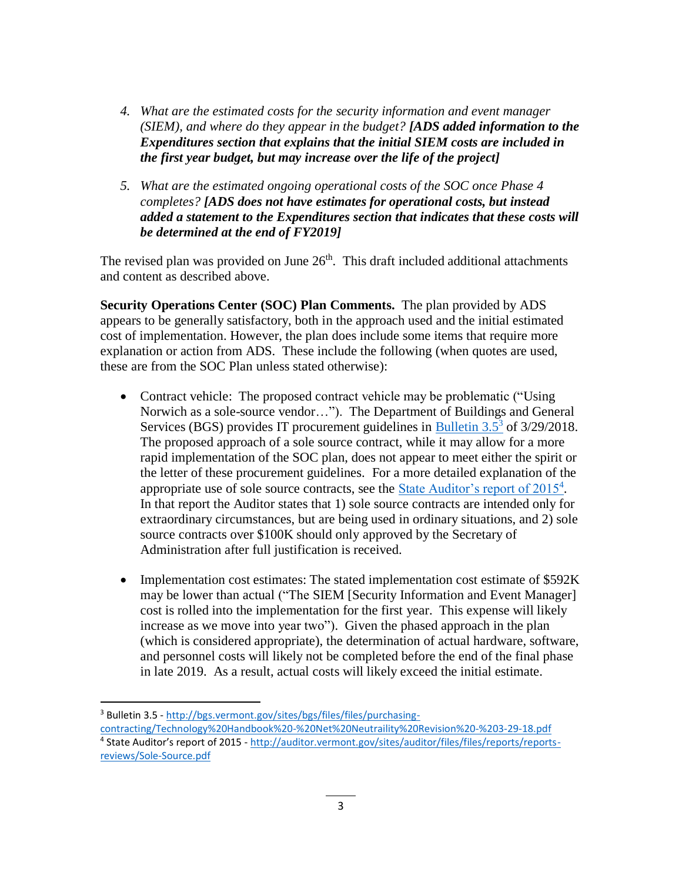- *4. What are the estimated costs for the security information and event manager (SIEM), and where do they appear in the budget? [ADS added information to the Expenditures section that explains that the initial SIEM costs are included in the first year budget, but may increase over the life of the project]*
- *5. What are the estimated ongoing operational costs of the SOC once Phase 4 completes? [ADS does not have estimates for operational costs, but instead added a statement to the Expenditures section that indicates that these costs will be determined at the end of FY2019]*

The revised plan was provided on June  $26<sup>th</sup>$ . This draft included additional attachments and content as described above.

**Security Operations Center (SOC) Plan Comments.** The plan provided by ADS appears to be generally satisfactory, both in the approach used and the initial estimated cost of implementation. However, the plan does include some items that require more explanation or action from ADS. These include the following (when quotes are used, these are from the SOC Plan unless stated otherwise):

- Contract vehicle: The proposed contract vehicle may be problematic ("Using") Norwich as a sole-source vendor…"). The Department of Buildings and General Services (BGS) provides IT procurement guidelines in  $\frac{\text{Bulletin}}{3.5^3}$  of 3/29/2018. The proposed approach of a sole source contract, while it may allow for a more rapid implementation of the SOC plan, does not appear to meet either the spirit or the letter of these procurement guidelines. For a more detailed explanation of the appropriate use of sole source contracts, see the **State Auditor's report of 2015**<sup>4</sup>. In that report the Auditor states that 1) sole source contracts are intended only for extraordinary circumstances, but are being used in ordinary situations, and 2) sole source contracts over \$100K should only approved by the Secretary of Administration after full justification is received.
- Implementation cost estimates: The stated implementation cost estimate of \$592K may be lower than actual ("The SIEM [Security Information and Event Manager] cost is rolled into the implementation for the first year. This expense will likely increase as we move into year two"). Given the phased approach in the plan (which is considered appropriate), the determination of actual hardware, software, and personnel costs will likely not be completed before the end of the final phase in late 2019. As a result, actual costs will likely exceed the initial estimate.

 $\overline{a}$ <sup>3</sup> Bulletin 3.5 - [http://bgs.vermont.gov/sites/bgs/files/files/purchasing-](http://bgs.vermont.gov/sites/bgs/files/files/purchasing-contracting/Technology%20Handbook%20-%20Net%20Neutraility%20Revision%20-%203-29-18.pdf)

[contracting/Technology%20Handbook%20-%20Net%20Neutraility%20Revision%20-%203-29-18.pdf](http://bgs.vermont.gov/sites/bgs/files/files/purchasing-contracting/Technology%20Handbook%20-%20Net%20Neutraility%20Revision%20-%203-29-18.pdf) <sup>4</sup> State Auditor's report of 2015 - [http://auditor.vermont.gov/sites/auditor/files/files/reports/reports](http://auditor.vermont.gov/sites/auditor/files/files/reports/reports-reviews/Sole-Source.pdf)[reviews/Sole-Source.pdf](http://auditor.vermont.gov/sites/auditor/files/files/reports/reports-reviews/Sole-Source.pdf)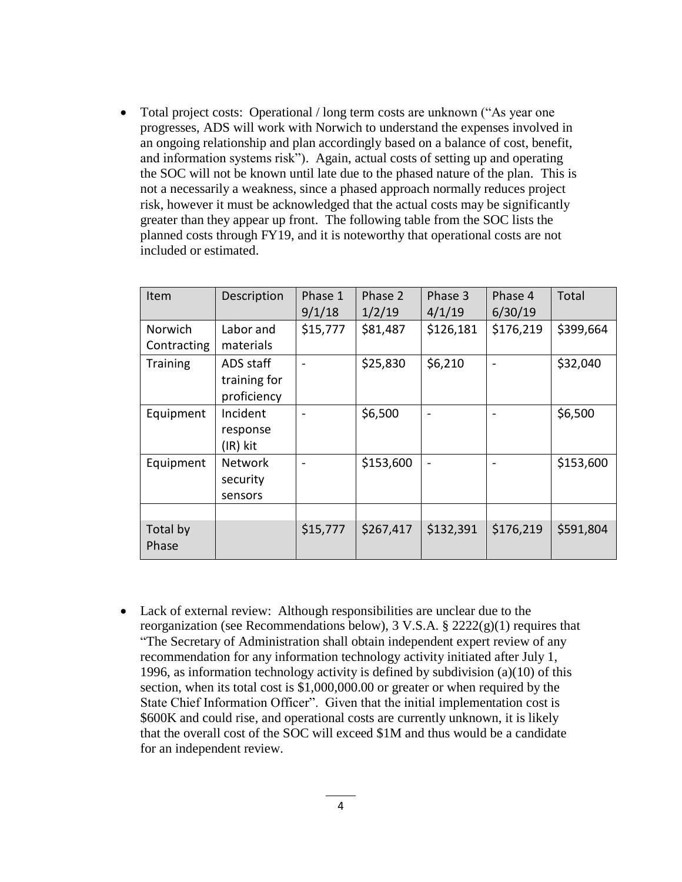• Total project costs: Operational / long term costs are unknown ("As year one progresses, ADS will work with Norwich to understand the expenses involved in an ongoing relationship and plan accordingly based on a balance of cost, benefit, and information systems risk"). Again, actual costs of setting up and operating the SOC will not be known until late due to the phased nature of the plan. This is not a necessarily a weakness, since a phased approach normally reduces project risk, however it must be acknowledged that the actual costs may be significantly greater than they appear up front. The following table from the SOC lists the planned costs through FY19, and it is noteworthy that operational costs are not included or estimated.

| Item                   | Description                              | Phase 1<br>9/1/18 | Phase 2<br>1/2/19 | Phase 3<br>4/1/19        | Phase 4<br>6/30/19 | Total     |
|------------------------|------------------------------------------|-------------------|-------------------|--------------------------|--------------------|-----------|
| Norwich<br>Contracting | Labor and<br>materials                   | \$15,777          | \$81,487          | \$126,181                | \$176,219          | \$399,664 |
| <b>Training</b>        | ADS staff<br>training for<br>proficiency |                   | \$25,830          | \$6,210                  |                    | \$32,040  |
| Equipment              | Incident<br>response<br>(IR) kit         |                   | \$6,500           |                          |                    | \$6,500   |
| Equipment              | <b>Network</b><br>security<br>sensors    |                   | \$153,600         | $\overline{\phantom{a}}$ |                    | \$153,600 |
|                        |                                          |                   |                   |                          |                    |           |
| Total by<br>Phase      |                                          | \$15,777          | \$267,417         | \$132,391                | \$176,219          | \$591,804 |

 Lack of external review: Although responsibilities are unclear due to the reorganization (see Recommendations below),  $3 \text{ V.S.A.} \$   $2222(g)(1)$  requires that "The Secretary of Administration shall obtain independent expert review of any recommendation for any information technology activity initiated after July 1, 1996, as information technology activity is defined by subdivision (a)(10) of this section, when its total cost is \$1,000,000.00 or greater or when required by the State Chief Information Officer". Given that the initial implementation cost is \$600K and could rise, and operational costs are currently unknown, it is likely that the overall cost of the SOC will exceed \$1M and thus would be a candidate for an independent review.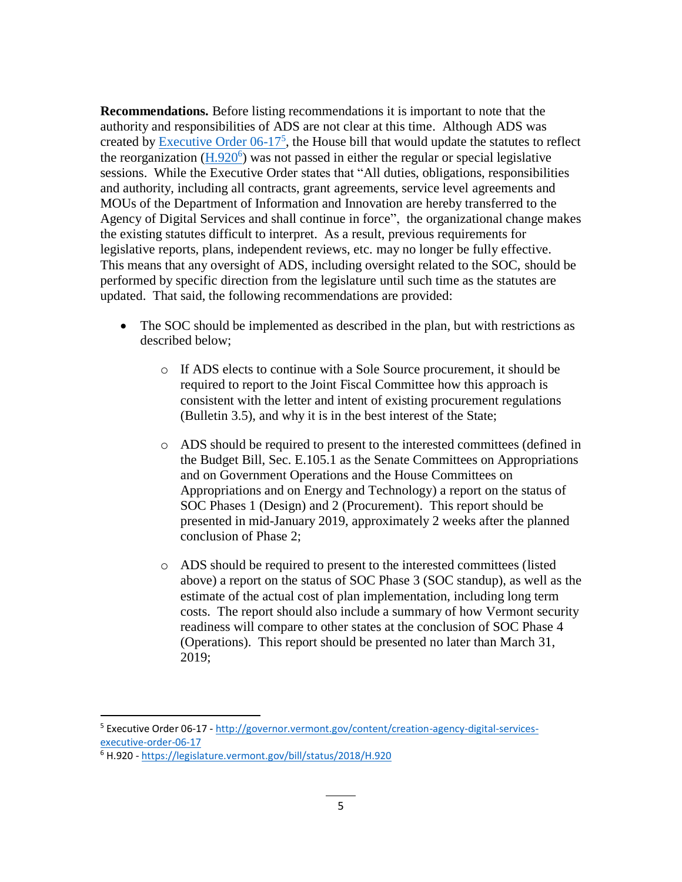**Recommendations.** Before listing recommendations it is important to note that the authority and responsibilities of ADS are not clear at this time. Although ADS was created by **Executive Order 06-17<sup>5</sup>**, the House bill that would update the statutes to reflect the reorganization  $(H.920^6)$  $(H.920^6)$  was not passed in either the regular or special legislative sessions. While the Executive Order states that "All duties, obligations, responsibilities and authority, including all contracts, grant agreements, service level agreements and MOUs of the Department of Information and Innovation are hereby transferred to the Agency of Digital Services and shall continue in force", the organizational change makes the existing statutes difficult to interpret. As a result, previous requirements for legislative reports, plans, independent reviews, etc. may no longer be fully effective. This means that any oversight of ADS, including oversight related to the SOC, should be performed by specific direction from the legislature until such time as the statutes are updated. That said, the following recommendations are provided:

- The SOC should be implemented as described in the plan, but with restrictions as described below;
	- o If ADS elects to continue with a Sole Source procurement, it should be required to report to the Joint Fiscal Committee how this approach is consistent with the letter and intent of existing procurement regulations (Bulletin 3.5), and why it is in the best interest of the State;
	- o ADS should be required to present to the interested committees (defined in the Budget Bill, Sec. E.105.1 as the Senate Committees on Appropriations and on Government Operations and the House Committees on Appropriations and on Energy and Technology) a report on the status of SOC Phases 1 (Design) and 2 (Procurement). This report should be presented in mid-January 2019, approximately 2 weeks after the planned conclusion of Phase 2;
	- o ADS should be required to present to the interested committees (listed above) a report on the status of SOC Phase 3 (SOC standup), as well as the estimate of the actual cost of plan implementation, including long term costs. The report should also include a summary of how Vermont security readiness will compare to other states at the conclusion of SOC Phase 4 (Operations). This report should be presented no later than March 31, 2019;

l

<sup>5</sup> Executive Order 06-17 - [http://governor.vermont.gov/content/creation-agency-digital-services](http://governor.vermont.gov/content/creation-agency-digital-services-executive-order-06-17)[executive-order-06-17](http://governor.vermont.gov/content/creation-agency-digital-services-executive-order-06-17)

<sup>6</sup> H.920 - <https://legislature.vermont.gov/bill/status/2018/H.920>